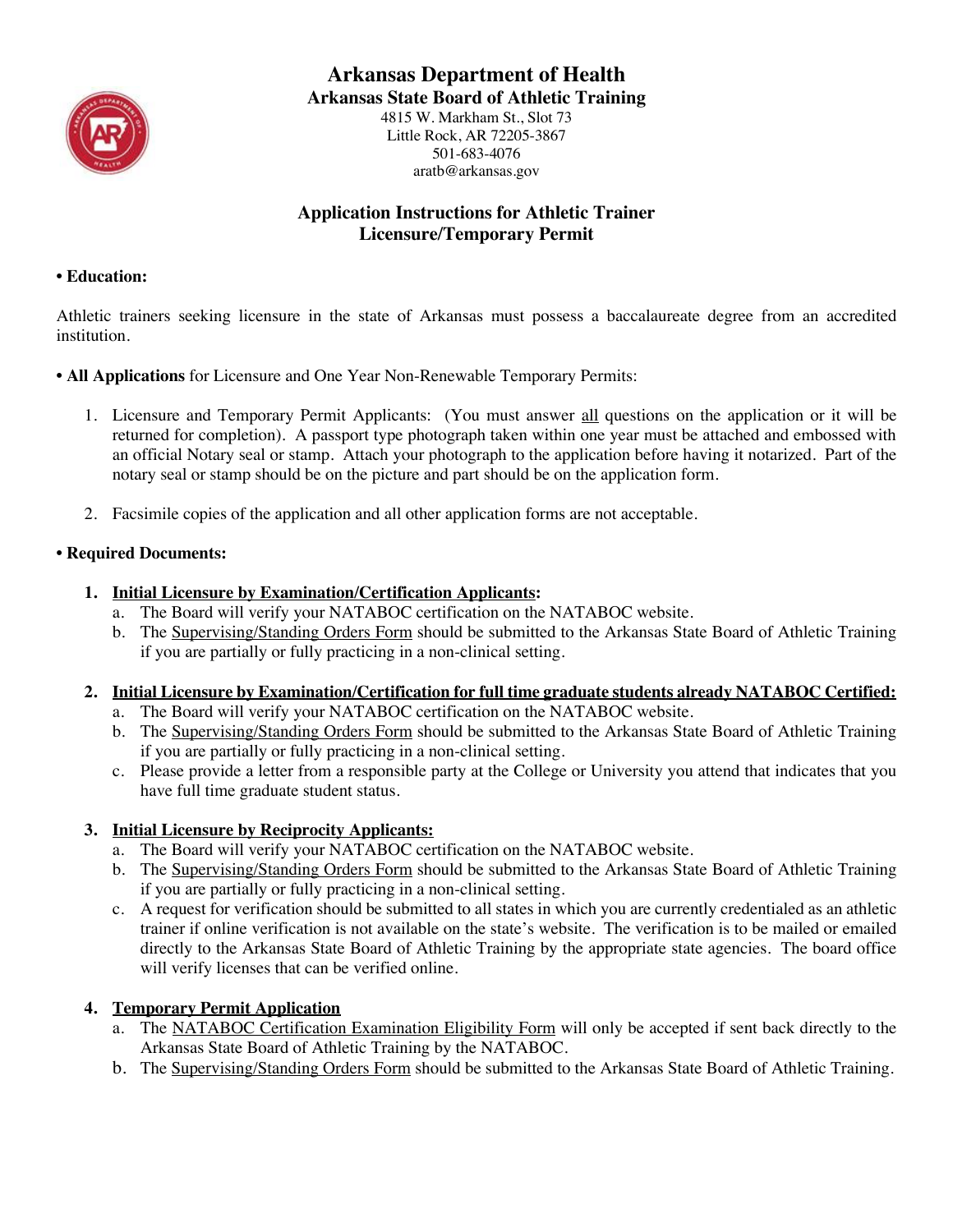

## **Arkansas Department of Health**

**Arkansas State Board of Athletic Training**

4815 W. Markham St., Slot 73 Little Rock, AR 72205-3867 501-683-4076 aratb@arkansas.gov

## **Application Instructions for Athletic Trainer Licensure/Temporary Permit**

#### **• Education:**

Athletic trainers seeking licensure in the state of Arkansas must possess a baccalaureate degree from an accredited institution.

- **All Applications** for Licensure and One Year Non-Renewable Temporary Permits:
	- 1. Licensure and Temporary Permit Applicants: (You must answer all questions on the application or it will be returned for completion). A passport type photograph taken within one year must be attached and embossed with an official Notary seal or stamp. Attach your photograph to the application before having it notarized. Part of the notary seal or stamp should be on the picture and part should be on the application form.
	- 2. Facsimile copies of the application and all other application forms are not acceptable.

## **• Required Documents:**

- **1. Initial Licensure by Examination/Certification Applicants:**
	- a. The Board will verify your NATABOC certification on the NATABOC website.
	- b. The Supervising/Standing Orders Form should be submitted to the Arkansas State Board of Athletic Training if you are partially or fully practicing in a non-clinical setting.
- **2. Initial Licensure by Examination/Certification for full time graduate students already NATABOC Certified:**
	- a. The Board will verify your NATABOC certification on the NATABOC website.
	- b. The Supervising/Standing Orders Form should be submitted to the Arkansas State Board of Athletic Training if you are partially or fully practicing in a non-clinical setting.
	- c. Please provide a letter from a responsible party at the College or University you attend that indicates that you have full time graduate student status.

## **3. Initial Licensure by Reciprocity Applicants:**

- a. The Board will verify your NATABOC certification on the NATABOC website.
- b. The Supervising/Standing Orders Form should be submitted to the Arkansas State Board of Athletic Training if you are partially or fully practicing in a non-clinical setting.
- c. A request for verification should be submitted to all states in which you are currently credentialed as an athletic trainer if online verification is not available on the state's website. The verification is to be mailed or emailed directly to the Arkansas State Board of Athletic Training by the appropriate state agencies. The board office will verify licenses that can be verified online.

## **4. Temporary Permit Application**

- a. The NATABOC Certification Examination Eligibility Form will only be accepted if sent back directly to the Arkansas State Board of Athletic Training by the NATABOC.
- b. The Supervising/Standing Orders Form should be submitted to the Arkansas State Board of Athletic Training.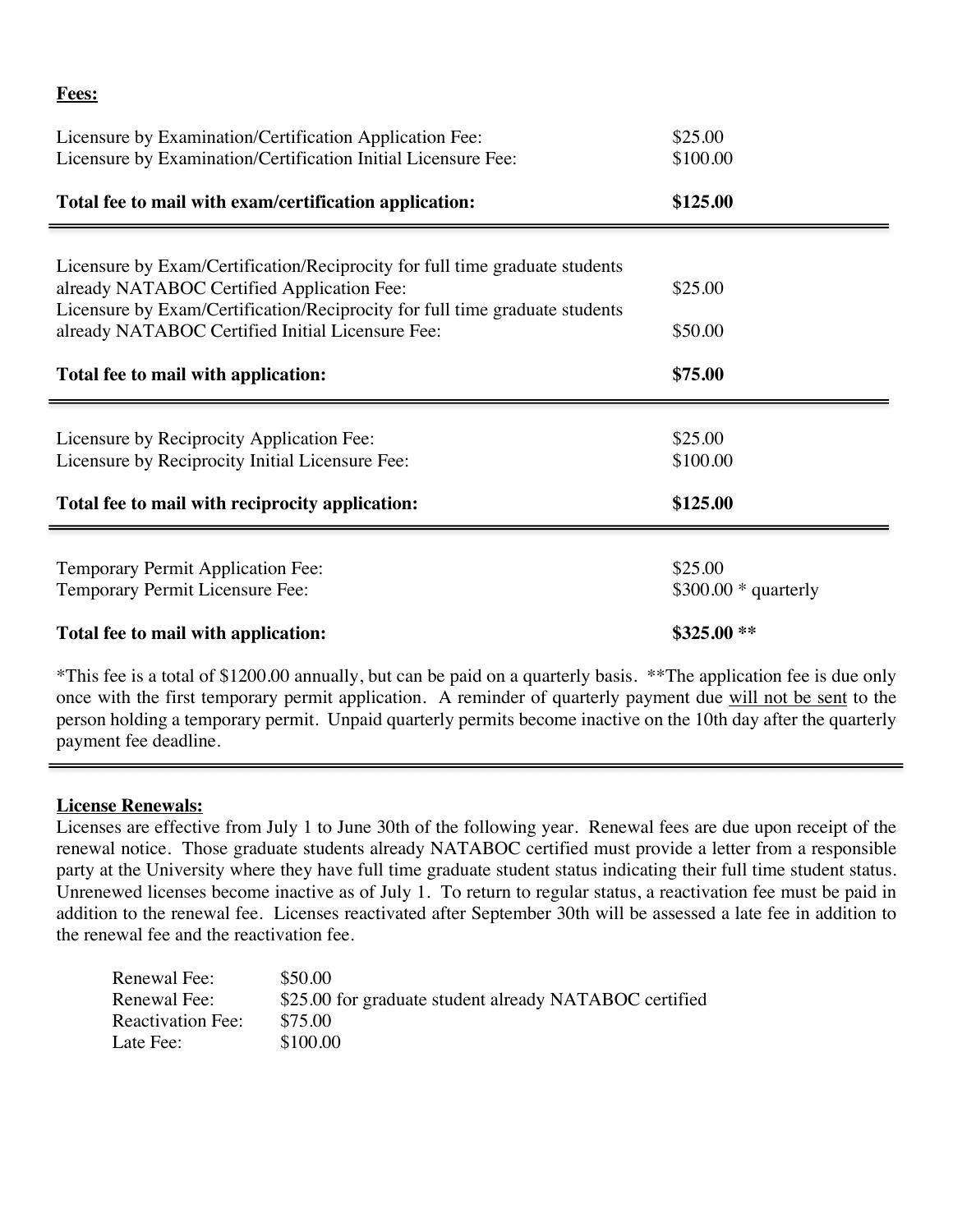| Licensure by Examination/Certification Application Fee:<br>Licensure by Examination/Certification Initial Licensure Fee:        | \$25.00<br>\$100.00              |
|---------------------------------------------------------------------------------------------------------------------------------|----------------------------------|
| Total fee to mail with exam/certification application:                                                                          | \$125.00                         |
| Licensure by Exam/Certification/Reciprocity for full time graduate students<br>already NATABOC Certified Application Fee:       | \$25.00                          |
| Licensure by Exam/Certification/Reciprocity for full time graduate students<br>already NATABOC Certified Initial Licensure Fee: | \$50.00                          |
| Total fee to mail with application:                                                                                             | \$75.00                          |
| Licensure by Reciprocity Application Fee:<br>Licensure by Reciprocity Initial Licensure Fee:                                    | \$25.00<br>\$100.00              |
| Total fee to mail with reciprocity application:                                                                                 | \$125.00                         |
| <b>Temporary Permit Application Fee:</b><br>Temporary Permit Licensure Fee:                                                     | \$25.00<br>$$300.00 * quarterly$ |
| Total fee to mail with application:                                                                                             | \$325.00**                       |
|                                                                                                                                 |                                  |

\*This fee is a total of \$1200.00 annually, but can be paid on a quarterly basis. \*\*The application fee is due only once with the first temporary permit application. A reminder of quarterly payment due will not be sent to the person holding a temporary permit. Unpaid quarterly permits become inactive on the 10th day after the quarterly payment fee deadline.

## **License Renewals:**

**Fees:**

Licenses are effective from July 1 to June 30th of the following year. Renewal fees are due upon receipt of the renewal notice. Those graduate students already NATABOC certified must provide a letter from a responsible party at the University where they have full time graduate student status indicating their full time student status. Unrenewed licenses become inactive as of July 1. To return to regular status, a reactivation fee must be paid in addition to the renewal fee. Licenses reactivated after September 30th will be assessed a late fee in addition to the renewal fee and the reactivation fee.

| Renewal Fee:      | \$50.00                                                |
|-------------------|--------------------------------------------------------|
| Renewal Fee:      | \$25.00 for graduate student already NATABOC certified |
| Reactivation Fee: | \$75.00                                                |
| Late Fee:         | \$100.00                                               |
|                   |                                                        |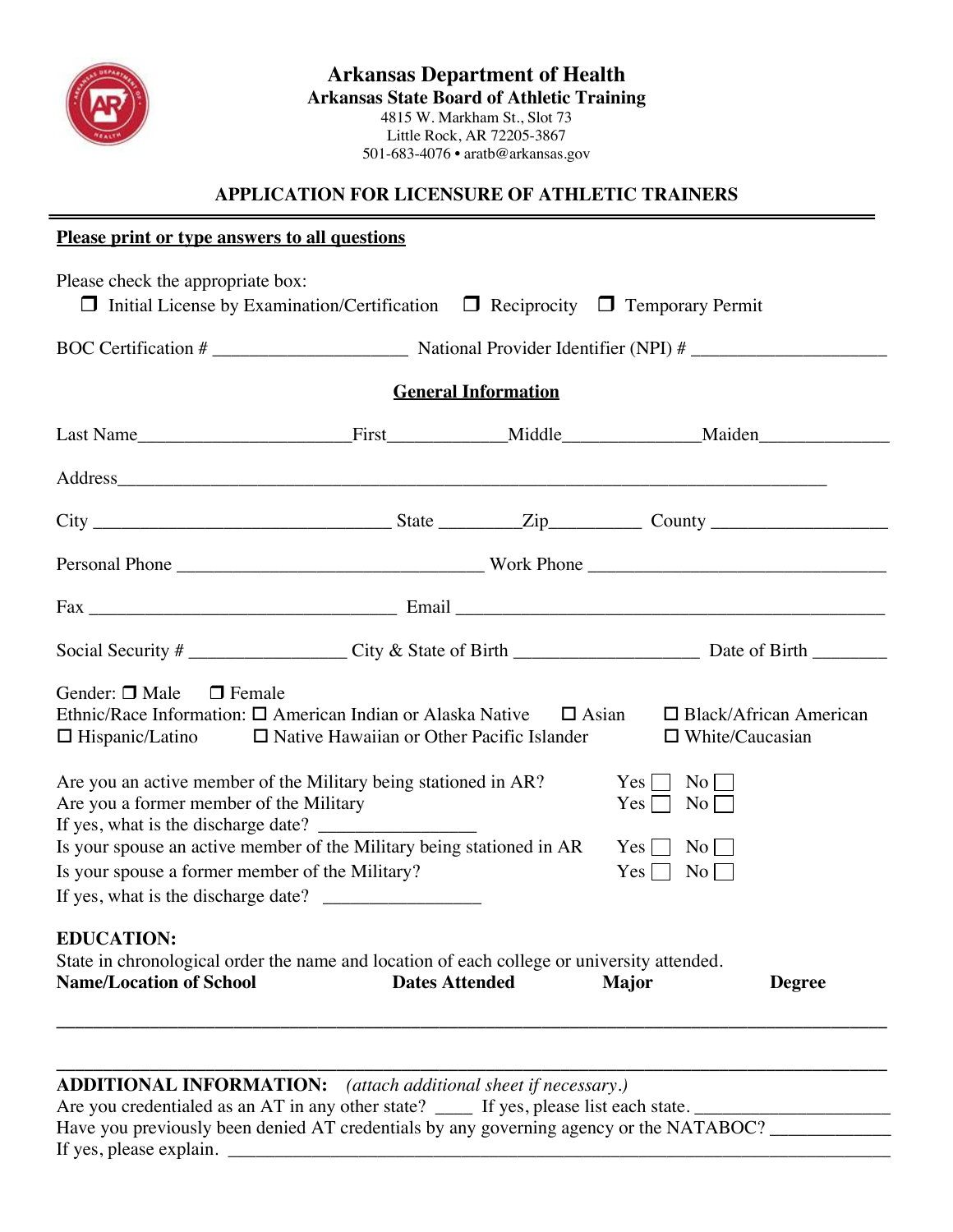

## **APPLICATION FOR LICENSURE OF ATHLETIC TRAINERS**

### **Please print or type answers to all questions**

| Please check the appropriate box:<br>$\Box$ Initial License by Examination/Certification $\Box$ Reciprocity $\Box$ Temporary Permit                                                                                                                                                                                                                                                                                                                                                                                                                                                                                                                        |                       |                            |              |               |
|------------------------------------------------------------------------------------------------------------------------------------------------------------------------------------------------------------------------------------------------------------------------------------------------------------------------------------------------------------------------------------------------------------------------------------------------------------------------------------------------------------------------------------------------------------------------------------------------------------------------------------------------------------|-----------------------|----------------------------|--------------|---------------|
|                                                                                                                                                                                                                                                                                                                                                                                                                                                                                                                                                                                                                                                            |                       |                            |              |               |
|                                                                                                                                                                                                                                                                                                                                                                                                                                                                                                                                                                                                                                                            |                       | <b>General Information</b> |              |               |
|                                                                                                                                                                                                                                                                                                                                                                                                                                                                                                                                                                                                                                                            |                       |                            |              |               |
|                                                                                                                                                                                                                                                                                                                                                                                                                                                                                                                                                                                                                                                            |                       |                            |              |               |
|                                                                                                                                                                                                                                                                                                                                                                                                                                                                                                                                                                                                                                                            |                       |                            |              |               |
|                                                                                                                                                                                                                                                                                                                                                                                                                                                                                                                                                                                                                                                            |                       |                            |              |               |
|                                                                                                                                                                                                                                                                                                                                                                                                                                                                                                                                                                                                                                                            |                       |                            |              |               |
|                                                                                                                                                                                                                                                                                                                                                                                                                                                                                                                                                                                                                                                            |                       |                            |              |               |
| Gender: $\Box$ Male<br>$\Box$ Female<br>Ethnic/Race Information: $\Box$ American Indian or Alaska Native $\Box$ Asian<br>$\Box$ Black/African American<br>$\Box$ Hispanic/Latino $\Box$ Native Hawaiian or Other Pacific Islander<br>$\Box$ White/Caucasian<br>Are you an active member of the Military being stationed in AR?<br>$Yes \Box No \Box$<br>Are you a former member of the Military<br>$Yes \Box No \Box$<br>If yes, what is the discharge date?<br>Is your spouse an active member of the Military being stationed in AR<br>$Yes \nightharpoonup No \nightharpoonup$<br>Is your spouse a former member of the Military?<br>$Yes \Box No \Box$ |                       |                            |              |               |
| <b>EDUCATION:</b><br>State in chronological order the name and location of each college or university attended.<br><b>Name/Location of School</b>                                                                                                                                                                                                                                                                                                                                                                                                                                                                                                          | <b>Dates Attended</b> |                            | <b>Major</b> | <b>Degree</b> |

#### **\_\_\_\_\_\_\_\_\_\_\_\_\_\_\_\_\_\_\_\_\_\_\_\_\_\_\_\_\_\_\_\_\_\_\_\_\_\_\_\_\_\_\_\_\_\_\_\_\_\_\_\_\_\_\_\_\_\_\_\_\_\_\_\_\_\_\_\_\_\_\_\_\_\_\_\_\_\_\_\_\_\_\_\_\_\_\_\_\_ ADDITIONAL INFORMATION:** *(attach additional sheet if necessary.)*

| Are you credentialed as an AT in any other state? _____ If yes, please list each state. |  |
|-----------------------------------------------------------------------------------------|--|
| Have you previously been denied AT credentials by any governing agency or the NATABOC?  |  |
| If yes, please explain.                                                                 |  |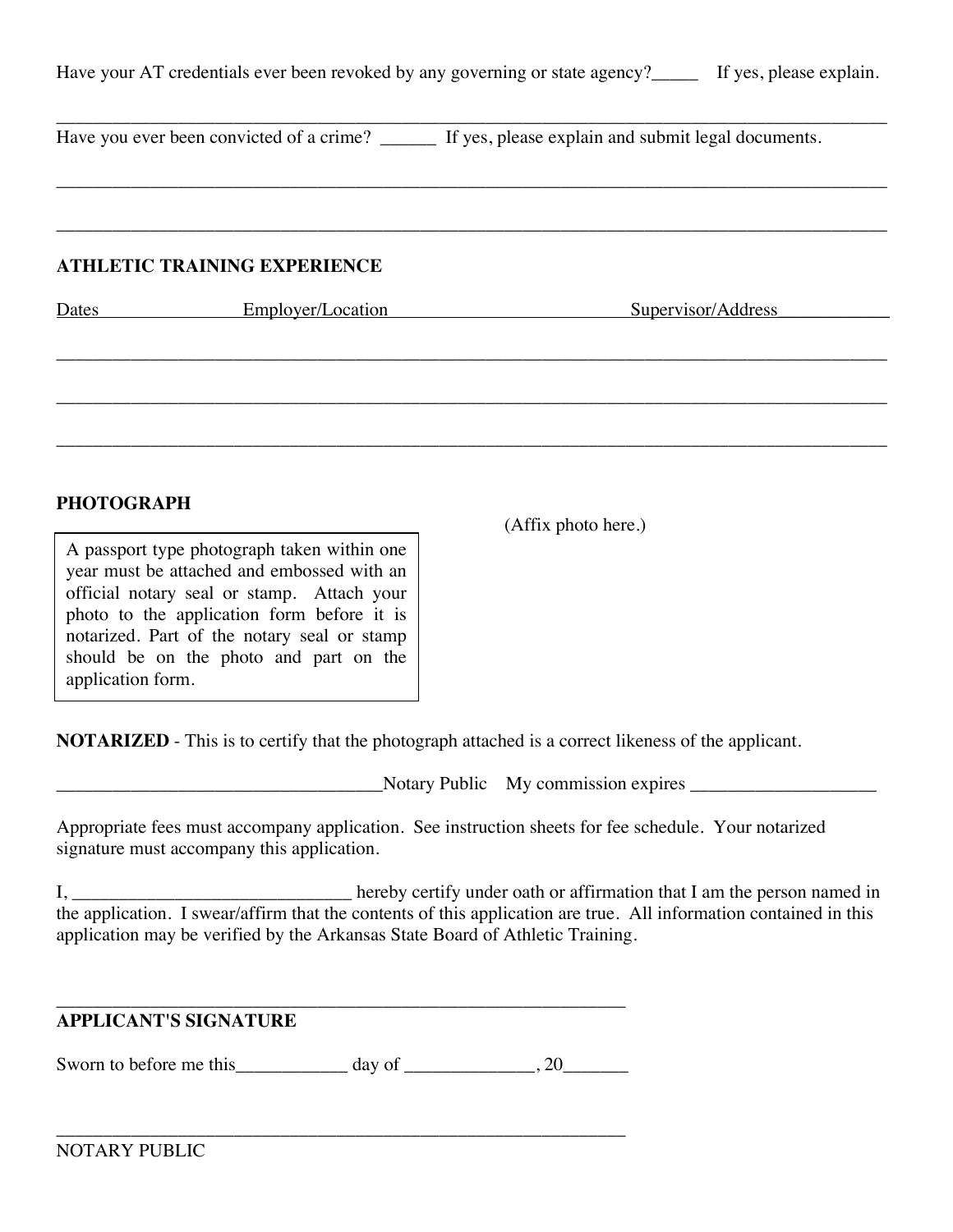| Have your AT credentials ever been revoked by any governing or state agency?_____ If yes, please explain. |  |
|-----------------------------------------------------------------------------------------------------------|--|
|-----------------------------------------------------------------------------------------------------------|--|

\_\_\_\_\_\_\_\_\_\_\_\_\_\_\_\_\_\_\_\_\_\_\_\_\_\_\_\_\_\_\_\_\_\_\_\_\_\_\_\_\_\_\_\_\_\_\_\_\_\_\_\_\_\_\_\_\_\_\_\_\_\_\_\_\_\_\_\_\_\_\_\_\_\_\_\_\_\_\_\_\_\_\_\_\_\_\_\_\_

\_\_\_\_\_\_\_\_\_\_\_\_\_\_\_\_\_\_\_\_\_\_\_\_\_\_\_\_\_\_\_\_\_\_\_\_\_\_\_\_\_\_\_\_\_\_\_\_\_\_\_\_\_\_\_\_\_\_\_\_\_\_\_\_\_\_\_\_\_\_\_\_\_\_\_\_\_\_\_\_\_\_\_\_\_\_\_\_\_

\_\_\_\_\_\_\_\_\_\_\_\_\_\_\_\_\_\_\_\_\_\_\_\_\_\_\_\_\_\_\_\_\_\_\_\_\_\_\_\_\_\_\_\_\_\_\_\_\_\_\_\_\_\_\_\_\_\_\_\_\_\_\_\_\_\_\_\_\_\_\_\_\_\_\_\_\_\_\_\_\_\_\_\_\_\_\_\_\_ Have you ever been convicted of a crime? \_\_\_\_\_\_ If yes, please explain and submit legal documents.

## **ATHLETIC TRAINING EXPERIENCE**

| Dates | Employer/Location | Supervisor/Address |
|-------|-------------------|--------------------|
|       |                   |                    |
|       |                   |                    |
|       |                   |                    |

## **PHOTOGRAPH**

A passport type photograph taken within one year must be attached and embossed with an official notary seal or stamp. Attach your photo to the application form before it is notarized. Part of the notary seal or stamp should be on the photo and part on the application form.

(Affix photo here.)

**NOTARIZED** - This is to certify that the photograph attached is a correct likeness of the applicant.

\_\_\_\_\_\_\_\_\_\_\_\_\_\_\_\_\_\_\_\_\_\_\_\_\_\_\_\_\_\_\_\_\_\_\_Notary Public My commission expires \_\_\_\_\_\_\_\_\_\_\_\_\_\_\_\_\_\_\_\_

Appropriate fees must accompany application. See instruction sheets for fee schedule. Your notarized signature must accompany this application.

I, \_\_\_\_\_\_\_\_\_\_\_\_\_\_\_\_\_\_\_\_\_\_\_\_\_\_\_\_\_\_\_\_\_\_\_ hereby certify under oath or affirmation that I am the person named in the application. I swear/affirm that the contents of this application are true. All information contained in this application may be verified by the Arkansas State Board of Athletic Training.

#### \_\_\_\_\_\_\_\_\_\_\_\_\_\_\_\_\_\_\_\_\_\_\_\_\_\_\_\_\_\_\_\_\_\_\_\_\_\_\_\_\_\_\_\_\_\_\_\_\_\_\_\_\_\_\_\_\_\_\_\_\_ **APPLICANT'S SIGNATURE**

Sworn to before me this\_\_\_\_\_\_\_\_\_\_\_\_ day of \_\_\_\_\_\_\_\_\_\_\_\_\_\_, 20\_\_\_\_\_\_\_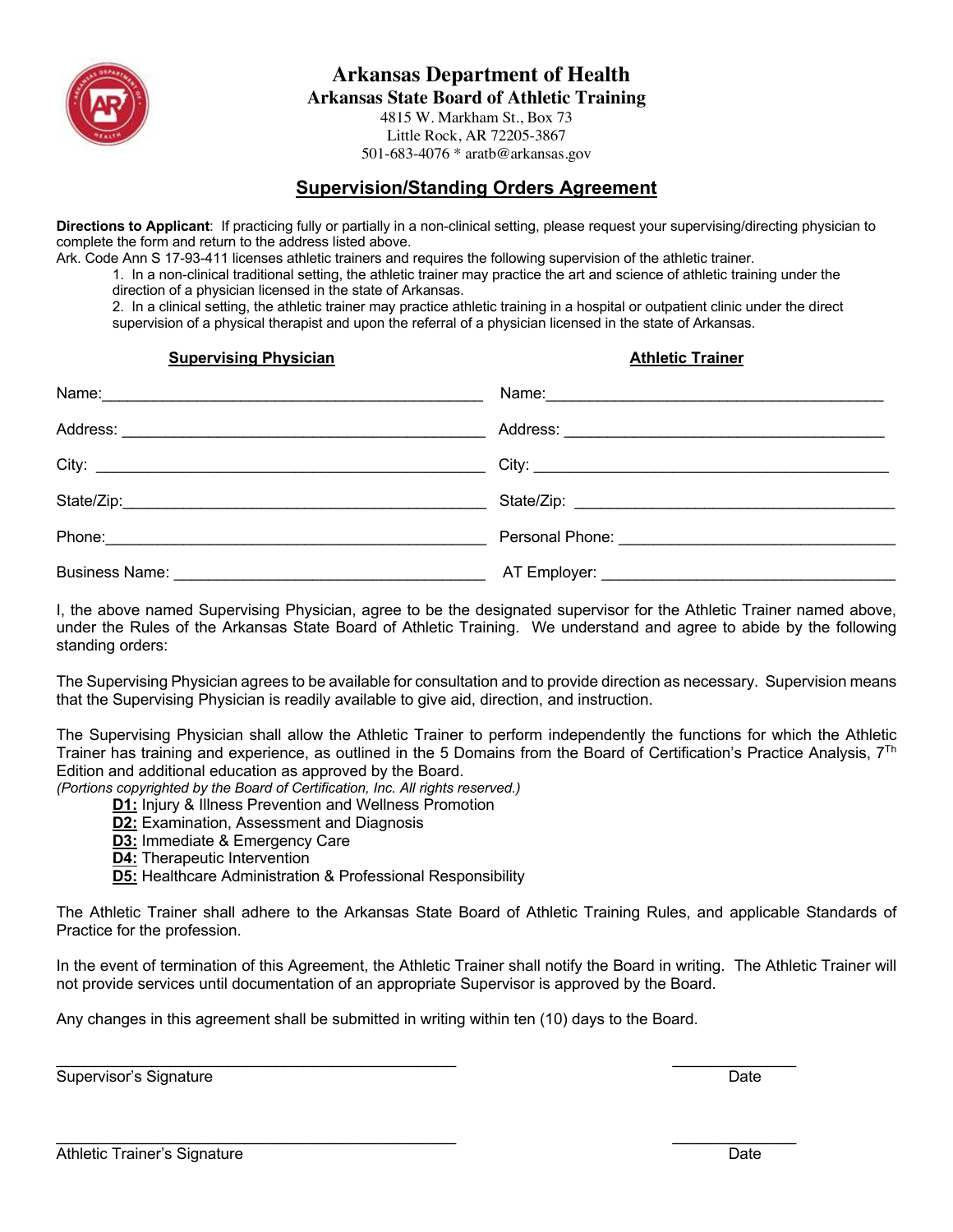

**Arkansas Department of Health**

**Arkansas State Board of Athletic Training**

4815 W. Markham St., Box 73 Little Rock, AR 72205-3867 501-683-4076 \* aratb@arkansas.gov

## **Supervision/Standing Orders Agreement**

**Directions to Applicant**: If practicing fully or partially in a non-clinical setting, please request your supervising/directing physician to complete the form and return to the address listed above.

Ark. Code Ann S 17-93-411 licenses athletic trainers and requires the following supervision of the athletic trainer.

1. In a non-clinical traditional setting, the athletic trainer may practice the art and science of athletic training under the direction of a physician licensed in the state of Arkansas.

2. In a clinical setting, the athletic trainer may practice athletic training in a hospital or outpatient clinic under the direct supervision of a physical therapist and upon the referral of a physician licensed in the state of Arkansas.

**Supervising Physician Athletic Trainer** Athletic Trainer

I, the above named Supervising Physician, agree to be the designated supervisor for the Athletic Trainer named above, under the Rules of the Arkansas State Board of Athletic Training. We understand and agree to abide by the following standing orders:

The Supervising Physician agrees to be available for consultation and to provide direction as necessary. Supervision means that the Supervising Physician is readily available to give aid, direction, and instruction.

The Supervising Physician shall allow the Athletic Trainer to perform independently the functions for which the Athletic Trainer has training and experience, as outlined in the 5 Domains from the Board of Certification's Practice Analysis,  $7^{Th}$ Edition and additional education as approved by the Board.

*(Portions copyrighted by the Board of Certification, Inc. All rights reserved.)*

**D1:** Injury & Illness Prevention and Wellness Promotion

- **D2:** Examination, Assessment and Diagnosis
- **D3:** Immediate & Emergency Care
- **D4:** Therapeutic Intervention
- **D5:** Healthcare Administration & Professional Responsibility

The Athletic Trainer shall adhere to the Arkansas State Board of Athletic Training Rules, and applicable Standards of Practice for the profession.

In the event of termination of this Agreement, the Athletic Trainer shall notify the Board in writing. The Athletic Trainer will not provide services until documentation of an appropriate Supervisor is approved by the Board.

Any changes in this agreement shall be submitted in writing within ten (10) days to the Board.

\_\_\_\_\_\_\_\_\_\_\_\_\_\_\_\_\_\_\_\_\_\_\_\_\_\_\_\_\_\_\_\_\_\_\_\_\_\_\_\_\_\_ \_\_\_\_\_\_\_\_\_\_\_\_\_

\_\_\_\_\_\_\_\_\_\_\_\_\_\_\_\_\_\_\_\_\_\_\_\_\_\_\_\_\_\_\_\_\_\_\_\_\_\_\_\_\_\_ \_\_\_\_\_\_\_\_\_\_\_\_\_

Supervisor's Signature **Date** Date of *Separature* Date Date of *Date* Date Date of *Date* Date Date of *Date* Date of *Date* Date of *Date* Date of *Date* Date of *Date* Date of *Date* Date of *Date* Date of *Date* Date o